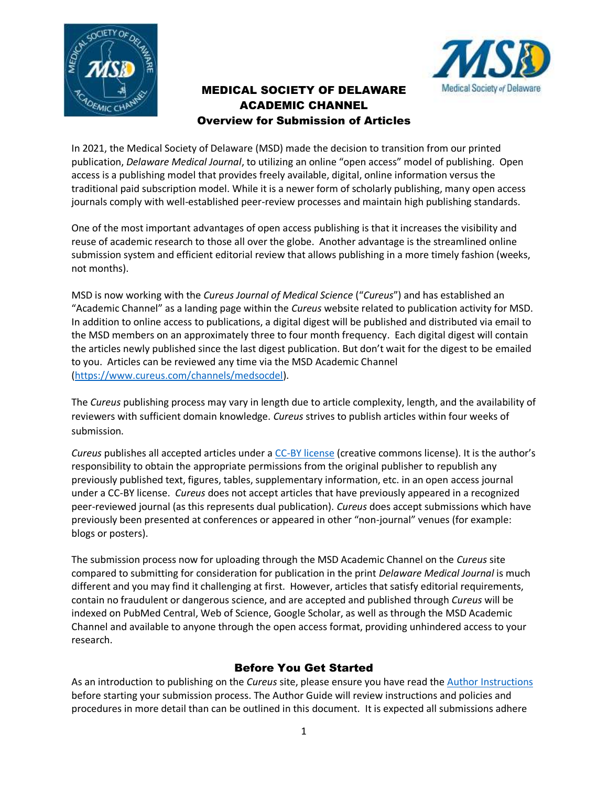

# MEDICAL SOCIETY OF DELAWARE ACADEMIC CHANNEL Overview for Submission of Articles



In 2021, the Medical Society of Delaware (MSD) made the decision to transition from our printed publication, *Delaware Medical Journal*, to utilizing an online "open access" model of publishing. Open access is a publishing model that provides freely available, digital, online information versus the traditional paid subscription model. While it is a newer form of scholarly publishing, many open access journals comply with well-established peer-review processes and maintain high publishing standards.

One of the most important advantages of open access publishing is that it increases the visibility and reuse of academic research to those all over the globe. Another advantage is the streamlined online submission system and efficient editorial review that allows publishing in a more timely fashion (weeks, not months).

MSD is now working with the *Cureus Journal of Medical Science* ("*Cureus*") and has established an "Academic Channel" as a landing page within the *Cureus* website related to publication activity for MSD. In addition to online access to publications, a digital digest will be published and distributed via email to the MSD members on an approximately three to four month frequency. Each digital digest will contain the articles newly published since the last digest publication. But don't wait for the digest to be emailed to you. Articles can be reviewed any time via the MSD Academic Channel [\(https://www.cureus.com/channels/medsocdel\)](https://www.cureus.com/channels/medsocdel).

The *Cureus* publishing process may vary in length due to article complexity, length, and the availability of reviewers with sufficient domain knowledge. *Cureus* strives to publish articles within four weeks of submission.

*Cureus* publishes all accepted articles under a [CC-BY license](https://creativecommons.org/licenses/by/4.0/) (creative commons license). It is the author's responsibility to obtain the appropriate permissions from the original publisher to republish any previously published text, figures, tables, supplementary information, etc. in an open access journal under a CC-BY license. *Cureus* does not accept articles that have previously appeared in a recognized peer-reviewed journal (as this represents dual publication). *Cureus* does accept submissions which have previously been presented at conferences or appeared in other "non-journal" venues (for example: blogs or posters).

The submission process now for uploading through the MSD Academic Channel on the *Cureus* site compared to submitting for consideration for publication in the print *Delaware Medical Journal* is much different and you may find it challenging at first. However, articles that satisfy editorial requirements, contain no fraudulent or dangerous science, and are accepted and published through *Cureus* will be indexed on PubMed Central, Web of Science, Google Scholar, as well as through the MSD Academic Channel and available to anyone through the open access format, providing unhindered access to your research.

## Before You Get Started

As an introduction to publishing on the *Cureus* site, please ensure you have read the [Author Instructions](https://www.cureus.com/author_guide#!/author-instructions/submitting-an-article) before starting your submission process. The Author Guide will review instructions and policies and procedures in more detail than can be outlined in this document. It is expected all submissions adhere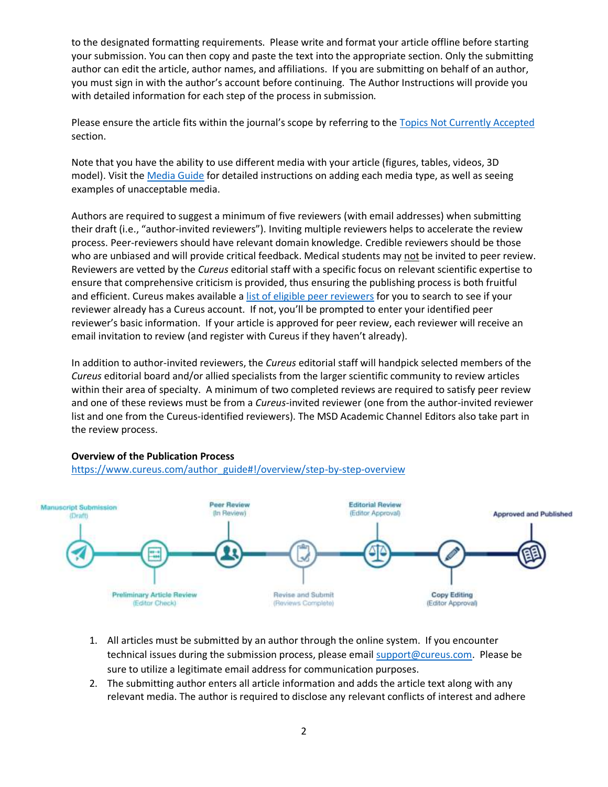to the designated formatting requirements. Please write and format your article offline before starting your submission. You can then copy and paste the text into the appropriate section. Only the submitting author can edit the article, author names, and affiliations. If you are submitting on behalf of an author, you must sign in with the author's account before continuing. The Author Instructions will provide you with detailed information for each step of the process in submission.

Please ensure the article fits within the journal's scope by referring to the [Topics Not Currently Accepted](https://www.cureus.com/author_guide#!/overview/unaccepted-article-types) section.

Note that you have the ability to use different media with your article (figures, tables, videos, 3D model). Visit the [Media Guide](https://www.cureus.com/media_guide#!/overview/adding-media) for detailed instructions on adding each media type, as well as seeing examples of unacceptable media.

Authors are required to suggest a minimum of five reviewers (with email addresses) when submitting their draft (i.e., "author-invited reviewers"). Inviting multiple reviewers helps to accelerate the review process. Peer-reviewers should have relevant domain knowledge. Credible reviewers should be those who are unbiased and will provide critical feedback. Medical students may not be invited to peer review. Reviewers are vetted by the *Cureus* editorial staff with a specific focus on relevant scientific expertise to ensure that comprehensive criticism is provided, thus ensuring the publishing process is both fruitful and efficient. Cureus makes available a [list of eligible peer reviewers](https://www.cureus.com/publish/articles/82240-multicancer-screening-tests-not-ready-for-prime-time-but-encouraging-early-results/reviewers/edit) for you to search to see if your reviewer already has a Cureus account. If not, you'll be prompted to enter your identified peer reviewer's basic information. If your article is approved for peer review, each reviewer will receive an email invitation to review (and register with Cureus if they haven't already).

In addition to author-invited reviewers, the *Cureus* editorial staff will handpick selected members of the *Cureus* editorial board and/or allied specialists from the larger scientific community to review articles within their area of specialty. A minimum of two completed reviews are required to satisfy peer review and one of these reviews must be from a *Cureus*-invited reviewer (one from the author-invited reviewer list and one from the Cureus-identified reviewers). The MSD Academic Channel Editors also take part in the review process.



### **Overview of the Publication Process**

[https://www.cureus.com/author\\_guide#!/overview/step-by-step-overview](https://www.cureus.com/author_guide#!/overview/step-by-step-overview)

- 1. All articles must be submitted by an author through the online system. If you encounter technical issues during the submission process, please email [support@cureus.com.](mailto:support@cureus.com) Please be sure to utilize a legitimate email address for communication purposes.
- 2. The submitting author enters all article information and adds the article text along with any relevant media. The author is required to disclose any relevant conflicts of interest and adhere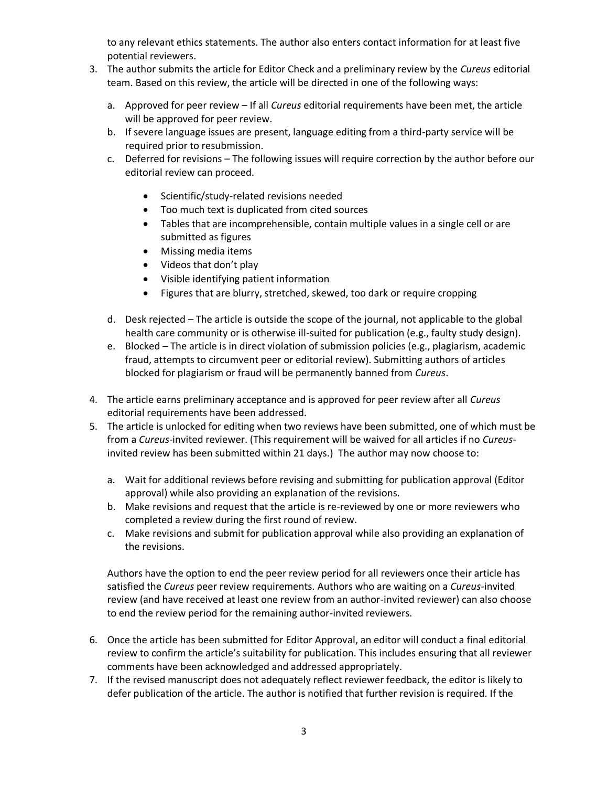to any relevant ethics statements. The author also enters contact information for at least five potential reviewers.

- 3. The author submits the article for Editor Check and a preliminary review by the *Cureus* editorial team. Based on this review, the article will be directed in one of the following ways:
	- a. Approved for peer review If all *Cureus* editorial requirements have been met, the article will be approved for peer review.
	- b. If severe language issues are present, language editing from a third-party service will be required prior to resubmission.
	- c. Deferred for revisions The following issues will require correction by the author before our editorial review can proceed.
		- Scientific/study-related revisions needed
		- Too much text is duplicated from cited sources
		- Tables that are incomprehensible, contain multiple values in a single cell or are submitted as figures
		- Missing media items
		- Videos that don't play
		- Visible identifying patient information
		- Figures that are blurry, stretched, skewed, too dark or require cropping
	- d. Desk rejected The article is outside the scope of the journal, not applicable to the global health care community or is otherwise ill-suited for publication (e.g., faulty study design).
	- e. Blocked The article is in direct violation of submission policies (e.g., plagiarism, academic fraud, attempts to circumvent peer or editorial review). Submitting authors of articles blocked for plagiarism or fraud will be permanently banned from *Cureus*.
- 4. The article earns preliminary acceptance and is approved for peer review after all *Cureus* editorial requirements have been addressed.
- 5. The article is unlocked for editing when two reviews have been submitted, one of which must be from a *Cureus*-invited reviewer. (This requirement will be waived for all articles if no *Cureus*invited review has been submitted within 21 days.) The author may now choose to:
	- a. Wait for additional reviews before revising and submitting for publication approval (Editor approval) while also providing an explanation of the revisions.
	- b. Make revisions and request that the article is re-reviewed by one or more reviewers who completed a review during the first round of review.
	- c. Make revisions and submit for publication approval while also providing an explanation of the revisions.

Authors have the option to end the peer review period for all reviewers once their article has satisfied the *Cureus* peer review requirements. Authors who are waiting on a *Cureus*-invited review (and have received at least one review from an author-invited reviewer) can also choose to end the review period for the remaining author-invited reviewers.

- 6. Once the article has been submitted for Editor Approval, an editor will conduct a final editorial review to confirm the article's suitability for publication. This includes ensuring that all reviewer comments have been acknowledged and addressed appropriately.
- 7. If the revised manuscript does not adequately reflect reviewer feedback, the editor is likely to defer publication of the article. The author is notified that further revision is required. If the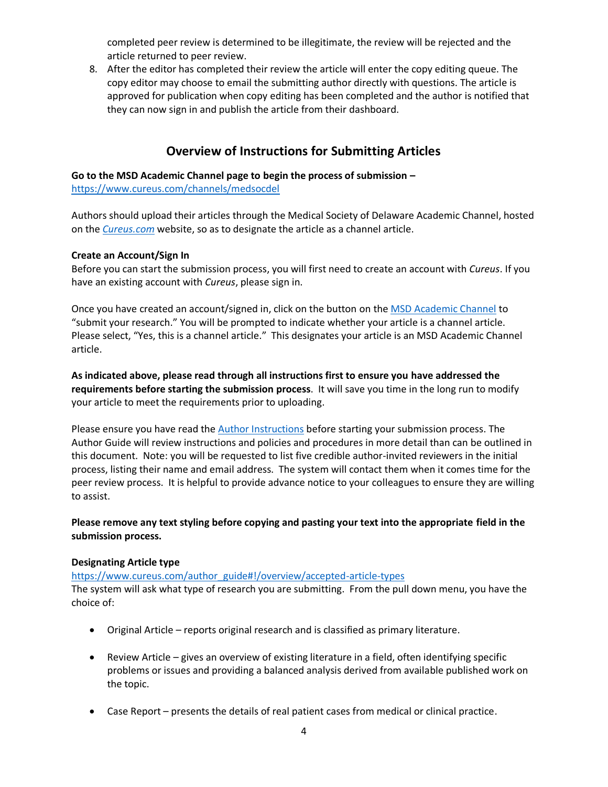completed peer review is determined to be illegitimate, the review will be rejected and the article returned to peer review.

8. After the editor has completed their review the article will enter the copy editing queue. The copy editor may choose to email the submitting author directly with questions. The article is approved for publication when copy editing has been completed and the author is notified that they can now sign in and publish the article from their dashboard.

# **Overview of Instructions for Submitting Articles**

## **Go to the MSD Academic Channel page to begin the process of submission –**

<https://www.cureus.com/channels/medsocdel>

Authors should upload their articles through the Medical Society of Delaware Academic Channel, hosted on the *[Cureus.com](https://www.cureus.com/)* website, so as to designate the article as a channel article.

### **Create an Account/Sign In**

Before you can start the submission process, you will first need to create an account with *Cureus*. If you have an existing account with *Cureus*, please sign in.

Once you have created an account/signed in, click on the button on th[e MSD Academic Channel](https://www.cureus.com/channels/medsocdel) to "submit your research." You will be prompted to indicate whether your article is a channel article. Please select, "Yes, this is a channel article." This designates your article is an MSD Academic Channel article.

**As indicated above, please read through all instructions first to ensure you have addressed the requirements before starting the submission process**. It will save you time in the long run to modify your article to meet the requirements prior to uploading.

Please ensure you have read th[e Author Instructions](https://www.cureus.com/author_guide#!/author-instructions/submitting-an-article) before starting your submission process. The Author Guide will review instructions and policies and procedures in more detail than can be outlined in this document. Note: you will be requested to list five credible author-invited reviewers in the initial process, listing their name and email address. The system will contact them when it comes time for the peer review process. It is helpful to provide advance notice to your colleagues to ensure they are willing to assist.

## **Please remove any text styling before copying and pasting your text into the appropriate field in the submission process.**

## **Designating Article type**

[https://www.cureus.com/author\\_guide#!/overview/accepted-article-types](https://www.cureus.com/author_guide#!/overview/accepted-article-types)

The system will ask what type of research you are submitting. From the pull down menu, you have the choice of:

- Original Article reports original research and is classified as primary literature.
- Review Article gives an overview of existing literature in a field, often identifying specific problems or issues and providing a balanced analysis derived from available published work on the topic.
- Case Report presents the details of real patient cases from medical or clinical practice.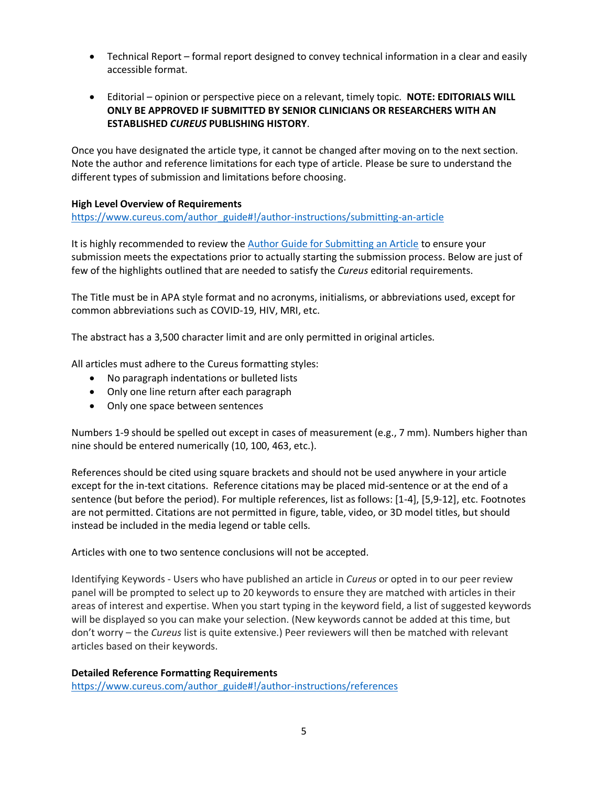- Technical Report formal report designed to convey technical information in a clear and easily accessible format.
- Editorial opinion or perspective piece on a relevant, timely topic. **NOTE: EDITORIALS WILL ONLY BE APPROVED IF SUBMITTED BY SENIOR CLINICIANS OR RESEARCHERS WITH AN ESTABLISHED** *CUREUS* **PUBLISHING HISTORY**.

Once you have designated the article type, it cannot be changed after moving on to the next section. Note the author and reference limitations for each type of article. Please be sure to understand the different types of submission and limitations before choosing.

### **High Level Overview of Requirements**

[https://www.cureus.com/author\\_guide#!/author-instructions/submitting-an-article](https://www.cureus.com/author_guide#!/author-instructions/submitting-an-article)

It is highly recommended to review th[e Author Guide for Submitting an Article](https://www.cureus.com/author_guide#!/author-instructions/submitting-an-article) to ensure your submission meets the expectations prior to actually starting the submission process. Below are just of few of the highlights outlined that are needed to satisfy the *Cureus* editorial requirements.

The Title must be in APA style format and no acronyms, initialisms, or abbreviations used, except for common abbreviations such as COVID-19, HIV, MRI, etc.

The abstract has a 3,500 character limit and are only permitted in original articles.

All articles must adhere to the Cureus formatting styles:

- No paragraph indentations or bulleted lists
- Only one line return after each paragraph
- Only one space between sentences

Numbers 1-9 should be spelled out except in cases of measurement (e.g., 7 mm). Numbers higher than nine should be entered numerically (10, 100, 463, etc.).

References should be cited using square brackets and should not be used anywhere in your article except for the in-text citations. Reference citations may be placed mid-sentence or at the end of a sentence (but before the period). For multiple references, list as follows: [1-4], [5,9-12], etc. Footnotes are not permitted. Citations are not permitted in figure, table, video, or 3D model titles, but should instead be included in the media legend or table cells.

Articles with one to two sentence conclusions will not be accepted.

Identifying Keywords - Users who have published an article in *Cureus* or opted in to our peer review panel will be prompted to select up to 20 keywords to ensure they are matched with articles in their areas of interest and expertise. When you start typing in the keyword field, a list of suggested keywords will be displayed so you can make your selection. (New keywords cannot be added at this time, but don't worry – the *Cureus* list is quite extensive.) Peer reviewers will then be matched with relevant articles based on their keywords.

### **Detailed Reference Formatting Requirements**

[https://www.cureus.com/author\\_guide#!/author-instructions/references](https://www.cureus.com/author_guide#!/author-instructions/references)